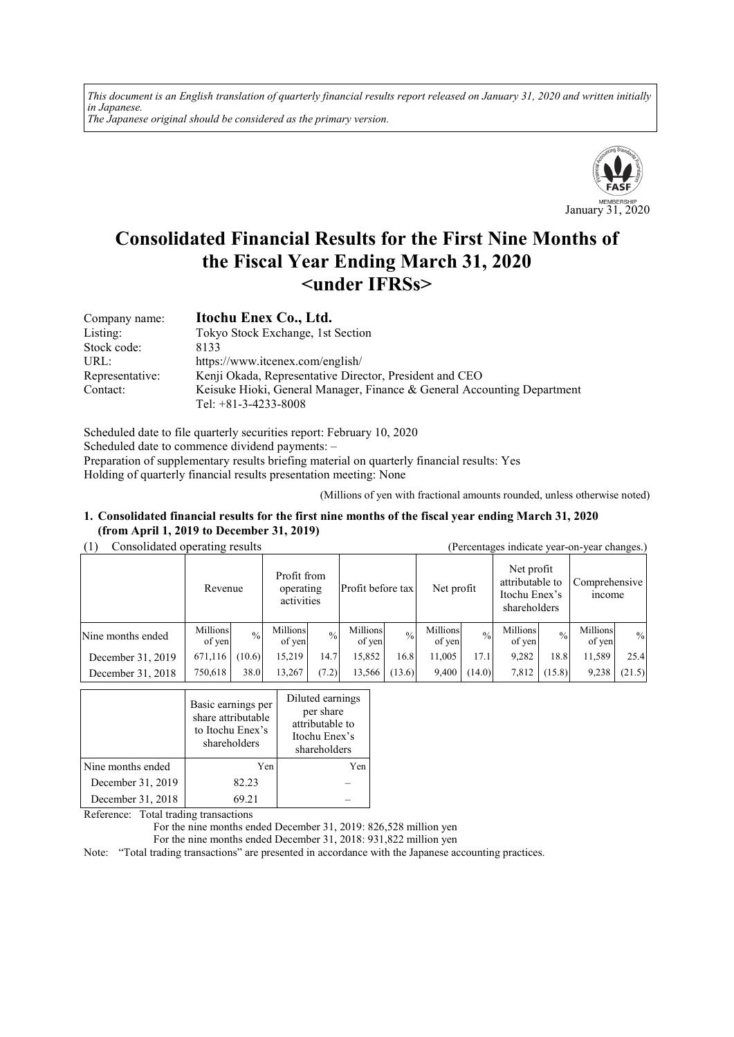*This document is an English translation of quarterly financial results report released on January 31, 2020 and written initially in Japanese. The Japanese original should be considered as the primary version.*



# **Consolidated Financial Results for the First Nine Months of the Fiscal Year Ending March 31, 2020 <under IFRSs>**

| Company name:   | Itochu Enex Co., Ltd.                                                   |
|-----------------|-------------------------------------------------------------------------|
| Listing:        | Tokyo Stock Exchange, 1st Section                                       |
| Stock code:     | 8133                                                                    |
| URL:            | https://www.itcenex.com/english/                                        |
| Representative: | Kenji Okada, Representative Director, President and CEO                 |
| Contact:        | Keisuke Hioki, General Manager, Finance & General Accounting Department |
|                 | Tel: $+81-3-4233-8008$                                                  |

Scheduled date to file quarterly securities report: February 10, 2020 Scheduled date to commence dividend payments: – Preparation of supplementary results briefing material on quarterly financial results: Yes Holding of quarterly financial results presentation meeting: None

(Millions of yen with fractional amounts rounded, unless otherwise noted)

### **1. Consolidated financial results for the first nine months of the fiscal year ending March 31, 2020 (from April 1, 2019 to December 31, 2019)**

(1) Consolidated operating results (Percentages indicate year-on-year changes.)

|                   | Consondated operating results<br>referringes murcate year-oil-year changes.) |               |                                                             |               |                    |               |                                                                |               |                                |               |                    |               |
|-------------------|------------------------------------------------------------------------------|---------------|-------------------------------------------------------------|---------------|--------------------|---------------|----------------------------------------------------------------|---------------|--------------------------------|---------------|--------------------|---------------|
|                   | Revenue                                                                      |               | Profit from<br>Profit before tax<br>operating<br>activities |               | Net profit         |               | Net profit<br>attributable to<br>Itochu Enex's<br>shareholders |               | Comprehensive<br><i>n</i> come |               |                    |               |
| Nine months ended | Millions<br>of yen                                                           | $\frac{0}{0}$ | Millions<br>of yen                                          | $\frac{0}{0}$ | Millions<br>of yen | $\frac{0}{0}$ | Millions<br>of yen                                             | $\frac{0}{0}$ | Millions<br>of yen             | $\frac{0}{0}$ | Millions<br>of ven | $\frac{0}{0}$ |
| December 31, 2019 | 671,116                                                                      | (10.6)        | 15,219                                                      | 14.7          | 15,852             | 16.8          | 11,005                                                         | 17.1          | 9,282                          | 18.8          | 11,589             | 25.4          |
| December 31, 2018 | 750,618                                                                      | 38.0          | 13,267                                                      | (7.2)         | 13,566             | (13.6)        | 9,400                                                          | (14.0)        | 7,812                          | (15.8)        | 9,238              | (21.5)        |

|                   | Basic earnings per<br>share attributable<br>to Itochu Enex's<br>shareholders | Diluted earnings<br>per share<br>attributable to<br>Itochu Enex's<br>shareholders |  |
|-------------------|------------------------------------------------------------------------------|-----------------------------------------------------------------------------------|--|
| Nine months ended | Yen                                                                          | Yen                                                                               |  |
| December 31, 2019 | 82.23                                                                        |                                                                                   |  |
| December 31, 2018 | 69.21                                                                        |                                                                                   |  |

Reference: Total trading transactions

For the nine months ended December 31, 2019: 826,528 million yen

For the nine months ended December 31, 2018: 931,822 million yen

Note: "Total trading transactions" are presented in accordance with the Japanese accounting practices.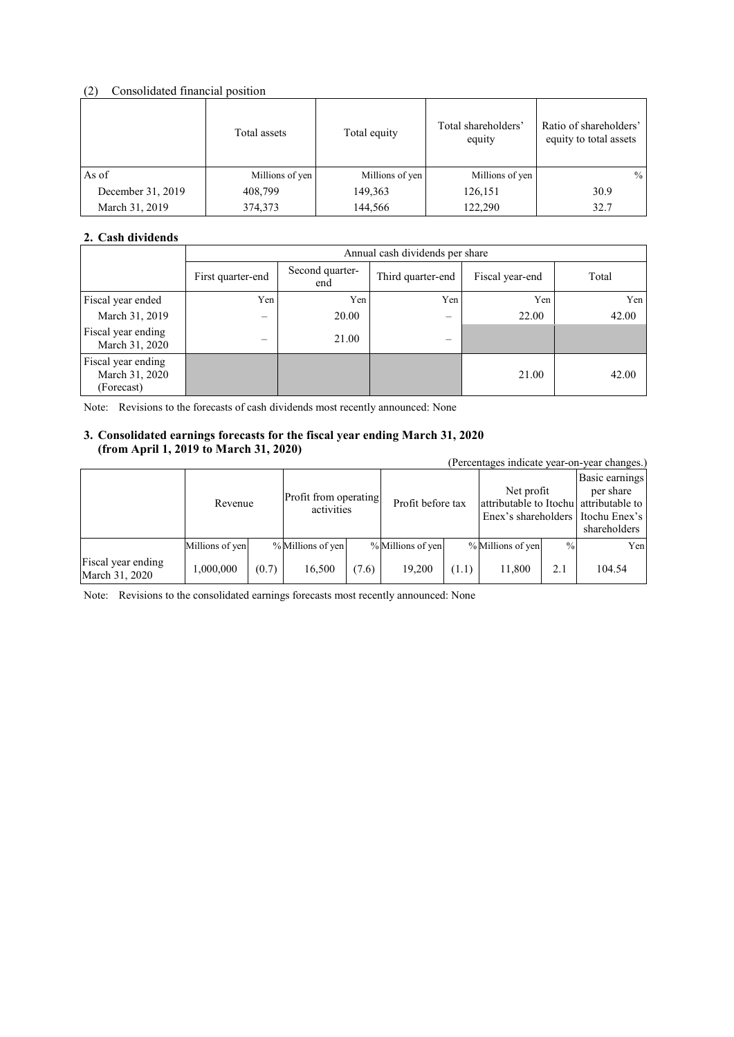# (2) Consolidated financial position

|                   | Total assets    | Total equity    | Total shareholders'<br>equity | Ratio of shareholders'<br>equity to total assets |
|-------------------|-----------------|-----------------|-------------------------------|--------------------------------------------------|
| As of             | Millions of yen | Millions of yen | Millions of yen               | $\%$                                             |
| December 31, 2019 | 408,799         | 149,363         | 126,151                       | 30.9                                             |
| March 31, 2019    | 374,373         | 144,566         | 122,290                       | 32.7                                             |

# **2. Cash dividends**

|                                                    |                                | Annual cash dividends per share |                          |                 |       |  |  |  |  |
|----------------------------------------------------|--------------------------------|---------------------------------|--------------------------|-----------------|-------|--|--|--|--|
|                                                    | First quarter-end              | Second quarter-<br>end          | Third quarter-end        | Fiscal year-end | Total |  |  |  |  |
| Fiscal year ended                                  | Yen                            | Yen                             | Yen                      | Yen             | Yen   |  |  |  |  |
| March 31, 2019                                     | —                              | 20.00                           | $\overline{\phantom{m}}$ | 22.00           | 42.00 |  |  |  |  |
| Fiscal year ending<br>March 31, 2020               | $\qquad \qquad \longleftarrow$ | 21.00                           | $\overline{\phantom{0}}$ |                 |       |  |  |  |  |
| Fiscal year ending<br>March 31, 2020<br>(Forecast) |                                |                                 |                          | 21.00           | 42.00 |  |  |  |  |

Note: Revisions to the forecasts of cash dividends most recently announced: None

### **3. Consolidated earnings forecasts for the fiscal year ending March 31, 2020 (from April 1, 2019 to March 31, 2020)**

|                                      | (Percentages indicate year-on-year changes.) |       |                                     |       |                   |       |                                                                                             |               |                                             |
|--------------------------------------|----------------------------------------------|-------|-------------------------------------|-------|-------------------|-------|---------------------------------------------------------------------------------------------|---------------|---------------------------------------------|
|                                      | Revenue                                      |       | Profit from operating<br>activities |       | Profit before tax |       | Net profit<br>attributable to Itochu attributable to<br>Enex's shareholders I Itochu Enex's |               | Basic earnings<br>per share<br>shareholders |
|                                      | Millions of yen                              |       | % Millions of yen                   |       | % Millions of yen |       | % Millions of yen                                                                           | $\frac{0}{0}$ | Yen                                         |
| Fiscal year ending<br>March 31, 2020 | 1,000,000                                    | (0.7) | 16,500                              | (7.6) | 19.200            | (1.1) | 11,800                                                                                      | 2.1           | 104.54                                      |

Note: Revisions to the consolidated earnings forecasts most recently announced: None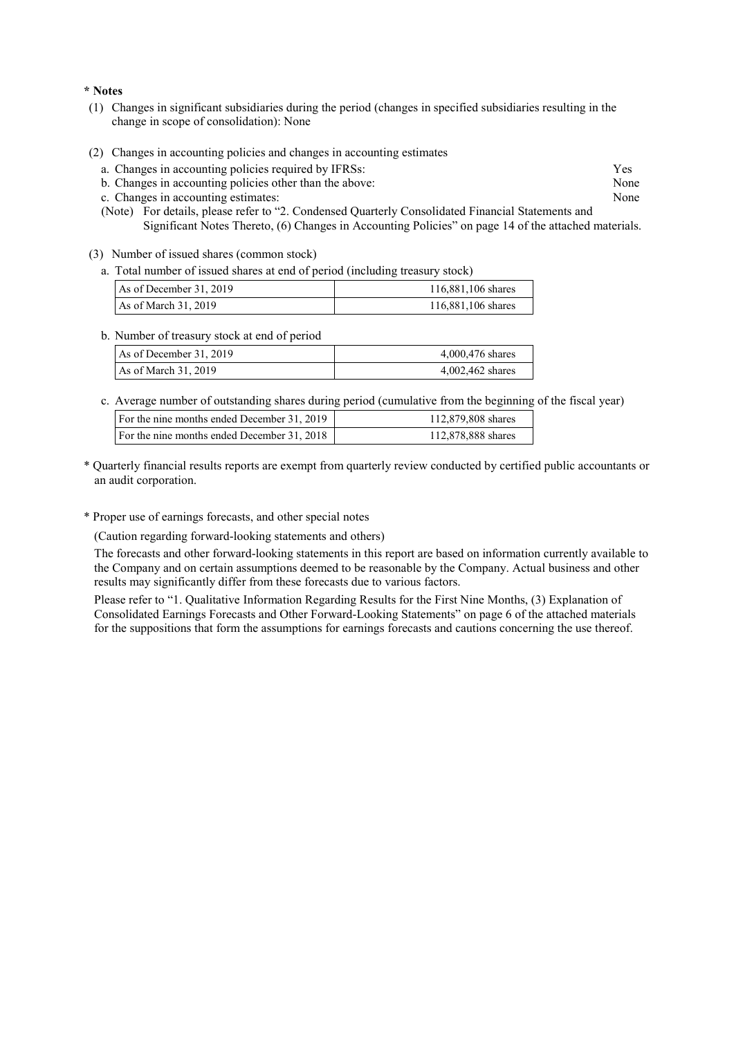#### **\* Notes**

- (1) Changes in significant subsidiaries during the period (changes in specified subsidiaries resulting in the change in scope of consolidation): None
- (2) Changes in accounting policies and changes in accounting estimates
	- a. Changes in accounting policies required by IFRSs: Yes
	- b. Changes in accounting policies other than the above: None
	- c. Changes in accounting estimates: None
	- (Note) For details, please refer to "2. Condensed Quarterly Consolidated Financial Statements and Significant Notes Thereto, (6) Changes in Accounting Policies" on page 14 of the attached materials.
- (3) Number of issued shares (common stock)
	- a. Total number of issued shares at end of period (including treasury stock)

| As of December $31, 2019$ | 116,881,106 shares |
|---------------------------|--------------------|
| As of March 31, 2019      | 116,881,106 shares |

#### b. Number of treasury stock at end of period

| As of December $31, 2019$ | 4,000,476 shares |
|---------------------------|------------------|
| As of March $31, 2019$    | 4,002,462 shares |

c. Average number of outstanding shares during period (cumulative from the beginning of the fiscal year)

| For the nine months ended December 31, 2019 | 112,879,808 shares |
|---------------------------------------------|--------------------|
| For the nine months ended December 31, 2018 | 112,878,888 shares |

- \* Quarterly financial results reports are exempt from quarterly review conducted by certified public accountants or an audit corporation.
- \* Proper use of earnings forecasts, and other special notes

(Caution regarding forward-looking statements and others)

The forecasts and other forward-looking statements in this report are based on information currently available to the Company and on certain assumptions deemed to be reasonable by the Company. Actual business and other results may significantly differ from these forecasts due to various factors.

Please refer to "1. Qualitative Information Regarding Results for the First Nine Months, (3) Explanation of Consolidated Earnings Forecasts and Other Forward-Looking Statements" on page 6 of the attached materials for the suppositions that form the assumptions for earnings forecasts and cautions concerning the use thereof.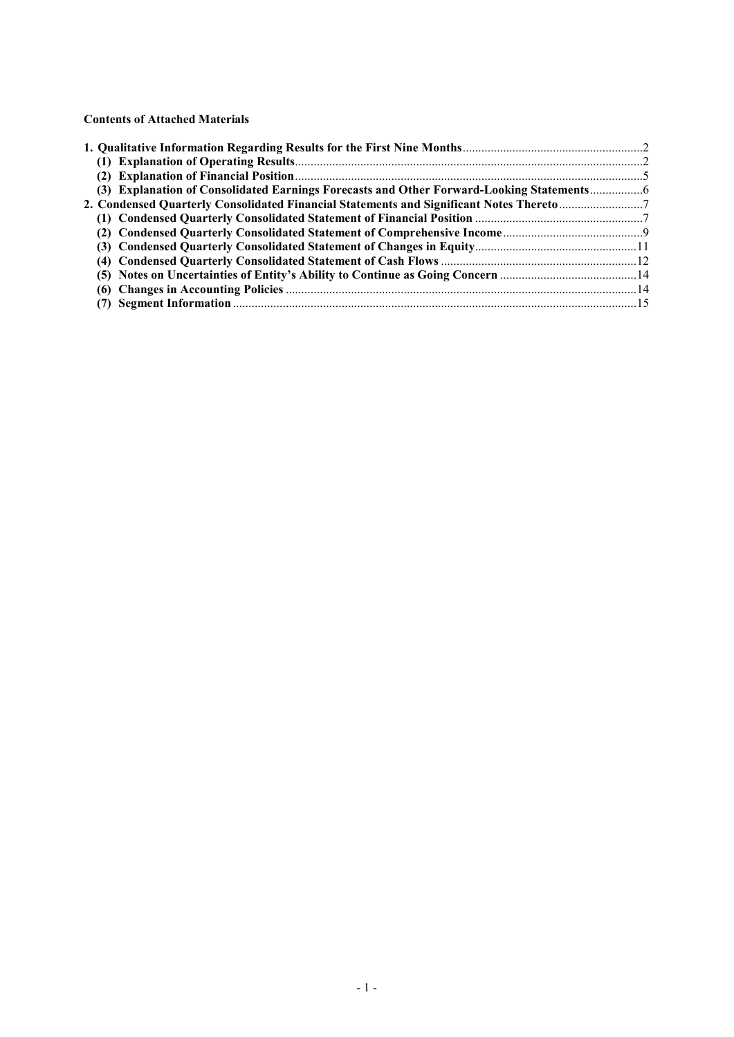**Contents of Attached Materials** 

| (3) Explanation of Consolidated Earnings Forecasts and Other Forward-Looking Statements |  |
|-----------------------------------------------------------------------------------------|--|
| 2. Condensed Quarterly Consolidated Financial Statements and Significant Notes Thereto7 |  |
|                                                                                         |  |
|                                                                                         |  |
|                                                                                         |  |
|                                                                                         |  |
|                                                                                         |  |
|                                                                                         |  |
|                                                                                         |  |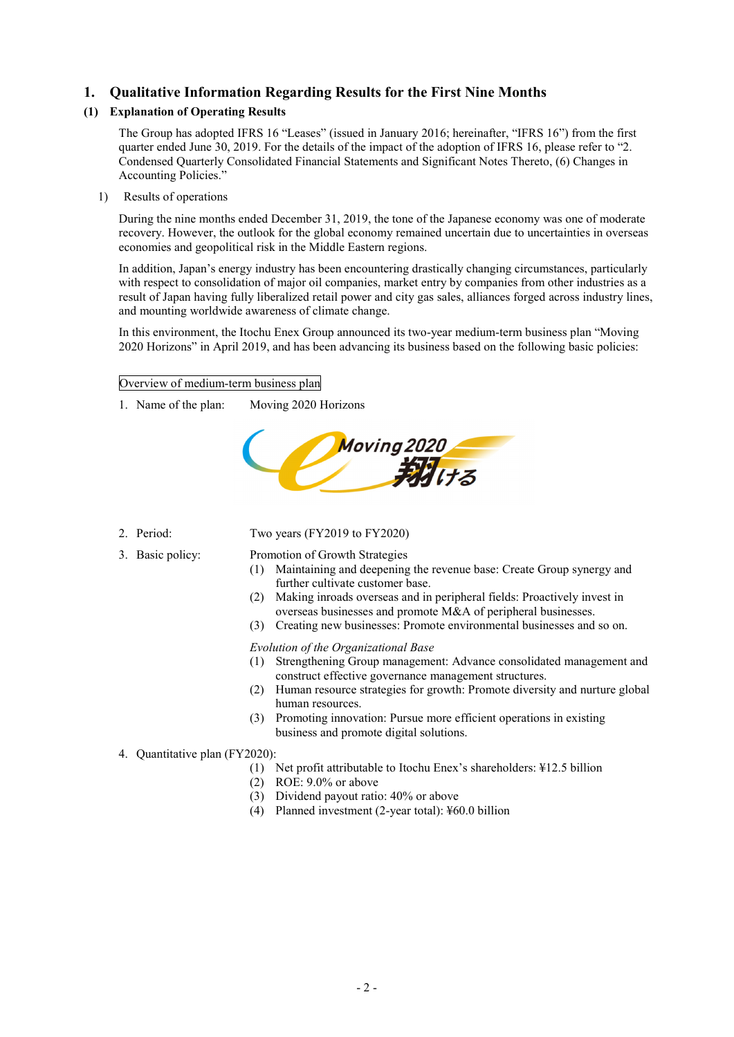# **1. Qualitative Information Regarding Results for the First Nine Months**

# **(1) Explanation of Operating Results**

The Group has adopted IFRS 16 "Leases" (issued in January 2016; hereinafter, "IFRS 16") from the first quarter ended June 30, 2019. For the details of the impact of the adoption of IFRS 16, please refer to "2. Condensed Quarterly Consolidated Financial Statements and Significant Notes Thereto, (6) Changes in Accounting Policies."

1) Results of operations

During the nine months ended December 31, 2019, the tone of the Japanese economy was one of moderate recovery. However, the outlook for the global economy remained uncertain due to uncertainties in overseas economies and geopolitical risk in the Middle Eastern regions.

In addition, Japan's energy industry has been encountering drastically changing circumstances, particularly with respect to consolidation of major oil companies, market entry by companies from other industries as a result of Japan having fully liberalized retail power and city gas sales, alliances forged across industry lines, and mounting worldwide awareness of climate change.

In this environment, the Itochu Enex Group announced its two-year medium-term business plan "Moving 2020 Horizons" in April 2019, and has been advancing its business based on the following basic policies:

Overview of medium-term business plan

1. Name of the plan: Moving 2020 Horizons



2. Period: Two years (FY2019 to FY2020)

3. Basic policy: Promotion of Growth Strategies

- (1) Maintaining and deepening the revenue base: Create Group synergy and further cultivate customer base.
- (2) Making inroads overseas and in peripheral fields: Proactively invest in overseas businesses and promote M&A of peripheral businesses.
- (3) Creating new businesses: Promote environmental businesses and so on.

*Evolution of the Organizational Base*

- (1) Strengthening Group management: Advance consolidated management and construct effective governance management structures.
- (2) Human resource strategies for growth: Promote diversity and nurture global human resources.
- (3) Promoting innovation: Pursue more efficient operations in existing business and promote digital solutions.

# 4. Quantitative plan (FY2020):

- (1) Net profit attributable to Itochu Enex's shareholders: ¥12.5 billion
- (2) ROE: 9.0% or above
- (3) Dividend payout ratio: 40% or above
- (4) Planned investment (2-year total): ¥60.0 billion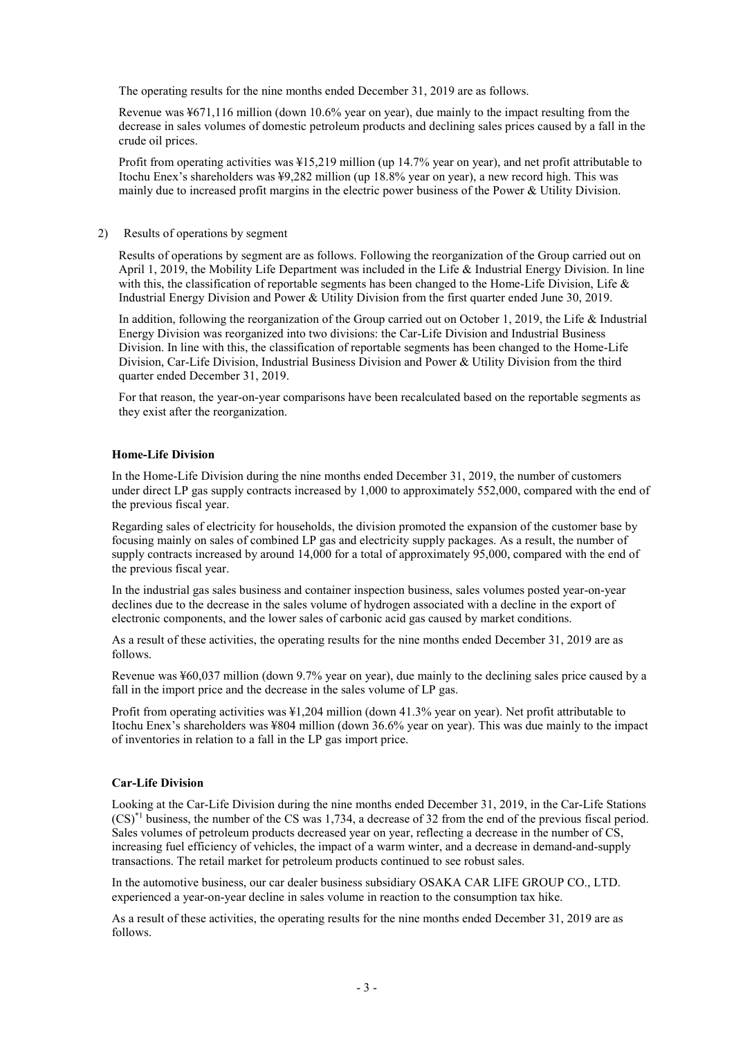The operating results for the nine months ended December 31, 2019 are as follows.

Revenue was ¥671,116 million (down 10.6% year on year), due mainly to the impact resulting from the decrease in sales volumes of domestic petroleum products and declining sales prices caused by a fall in the crude oil prices.

Profit from operating activities was ¥15,219 million (up 14.7% year on year), and net profit attributable to Itochu Enex's shareholders was ¥9,282 million (up 18.8% year on year), a new record high. This was mainly due to increased profit margins in the electric power business of the Power & Utility Division.

#### 2) Results of operations by segment

Results of operations by segment are as follows. Following the reorganization of the Group carried out on April 1, 2019, the Mobility Life Department was included in the Life & Industrial Energy Division. In line with this, the classification of reportable segments has been changed to the Home-Life Division, Life  $\&$ Industrial Energy Division and Power & Utility Division from the first quarter ended June 30, 2019.

In addition, following the reorganization of the Group carried out on October 1, 2019, the Life & Industrial Energy Division was reorganized into two divisions: the Car-Life Division and Industrial Business Division. In line with this, the classification of reportable segments has been changed to the Home-Life Division, Car-Life Division, Industrial Business Division and Power & Utility Division from the third quarter ended December 31, 2019.

For that reason, the year-on-year comparisons have been recalculated based on the reportable segments as they exist after the reorganization.

#### **Home-Life Division**

In the Home-Life Division during the nine months ended December 31, 2019, the number of customers under direct LP gas supply contracts increased by 1,000 to approximately 552,000, compared with the end of the previous fiscal year.

Regarding sales of electricity for households, the division promoted the expansion of the customer base by focusing mainly on sales of combined LP gas and electricity supply packages. As a result, the number of supply contracts increased by around 14,000 for a total of approximately 95,000, compared with the end of the previous fiscal year.

In the industrial gas sales business and container inspection business, sales volumes posted year-on-year declines due to the decrease in the sales volume of hydrogen associated with a decline in the export of electronic components, and the lower sales of carbonic acid gas caused by market conditions.

As a result of these activities, the operating results for the nine months ended December 31, 2019 are as follows.

Revenue was ¥60,037 million (down 9.7% year on year), due mainly to the declining sales price caused by a fall in the import price and the decrease in the sales volume of LP gas.

Profit from operating activities was ¥1,204 million (down 41.3% year on year). Net profit attributable to Itochu Enex's shareholders was ¥804 million (down 36.6% year on year). This was due mainly to the impact of inventories in relation to a fall in the LP gas import price.

#### **Car-Life Division**

Looking at the Car-Life Division during the nine months ended December 31, 2019, in the Car-Life Stations  $(CS)^*$ <sup>1</sup> business, the number of the CS was 1,734, a decrease of 32 from the end of the previous fiscal period. Sales volumes of petroleum products decreased year on year, reflecting a decrease in the number of CS, increasing fuel efficiency of vehicles, the impact of a warm winter, and a decrease in demand-and-supply transactions. The retail market for petroleum products continued to see robust sales.

In the automotive business, our car dealer business subsidiary OSAKA CAR LIFE GROUP CO., LTD. experienced a year-on-year decline in sales volume in reaction to the consumption tax hike.

As a result of these activities, the operating results for the nine months ended December 31, 2019 are as follows.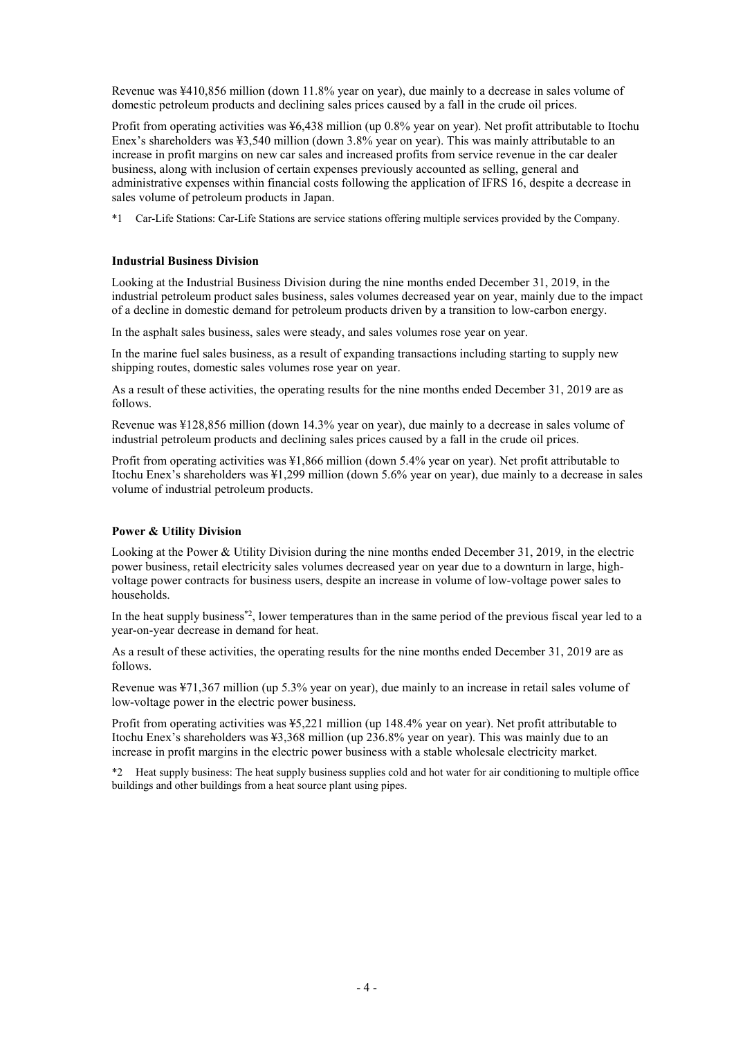Revenue was ¥410,856 million (down 11.8% year on year), due mainly to a decrease in sales volume of domestic petroleum products and declining sales prices caused by a fall in the crude oil prices.

Profit from operating activities was ¥6,438 million (up 0.8% year on year). Net profit attributable to Itochu Enex's shareholders was ¥3,540 million (down 3.8% year on year). This was mainly attributable to an increase in profit margins on new car sales and increased profits from service revenue in the car dealer business, along with inclusion of certain expenses previously accounted as selling, general and administrative expenses within financial costs following the application of IFRS 16, despite a decrease in sales volume of petroleum products in Japan.

\*1 Car-Life Stations: Car-Life Stations are service stations offering multiple services provided by the Company.

#### **Industrial Business Division**

Looking at the Industrial Business Division during the nine months ended December 31, 2019, in the industrial petroleum product sales business, sales volumes decreased year on year, mainly due to the impact of a decline in domestic demand for petroleum products driven by a transition to low-carbon energy.

In the asphalt sales business, sales were steady, and sales volumes rose year on year.

In the marine fuel sales business, as a result of expanding transactions including starting to supply new shipping routes, domestic sales volumes rose year on year.

As a result of these activities, the operating results for the nine months ended December 31, 2019 are as follows.

Revenue was ¥128,856 million (down 14.3% year on year), due mainly to a decrease in sales volume of industrial petroleum products and declining sales prices caused by a fall in the crude oil prices.

Profit from operating activities was ¥1,866 million (down 5.4% year on year). Net profit attributable to Itochu Enex's shareholders was ¥1,299 million (down 5.6% year on year), due mainly to a decrease in sales volume of industrial petroleum products.

#### **Power & Utility Division**

Looking at the Power & Utility Division during the nine months ended December 31, 2019, in the electric power business, retail electricity sales volumes decreased year on year due to a downturn in large, highvoltage power contracts for business users, despite an increase in volume of low-voltage power sales to households.

In the heat supply business<sup>\*2</sup>, lower temperatures than in the same period of the previous fiscal year led to a year-on-year decrease in demand for heat.

As a result of these activities, the operating results for the nine months ended December 31, 2019 are as follows.

Revenue was ¥71,367 million (up 5.3% year on year), due mainly to an increase in retail sales volume of low-voltage power in the electric power business.

Profit from operating activities was ¥5,221 million (up 148.4% year on year). Net profit attributable to Itochu Enex's shareholders was ¥3,368 million (up 236.8% year on year). This was mainly due to an increase in profit margins in the electric power business with a stable wholesale electricity market.

\*2 Heat supply business: The heat supply business supplies cold and hot water for air conditioning to multiple office buildings and other buildings from a heat source plant using pipes.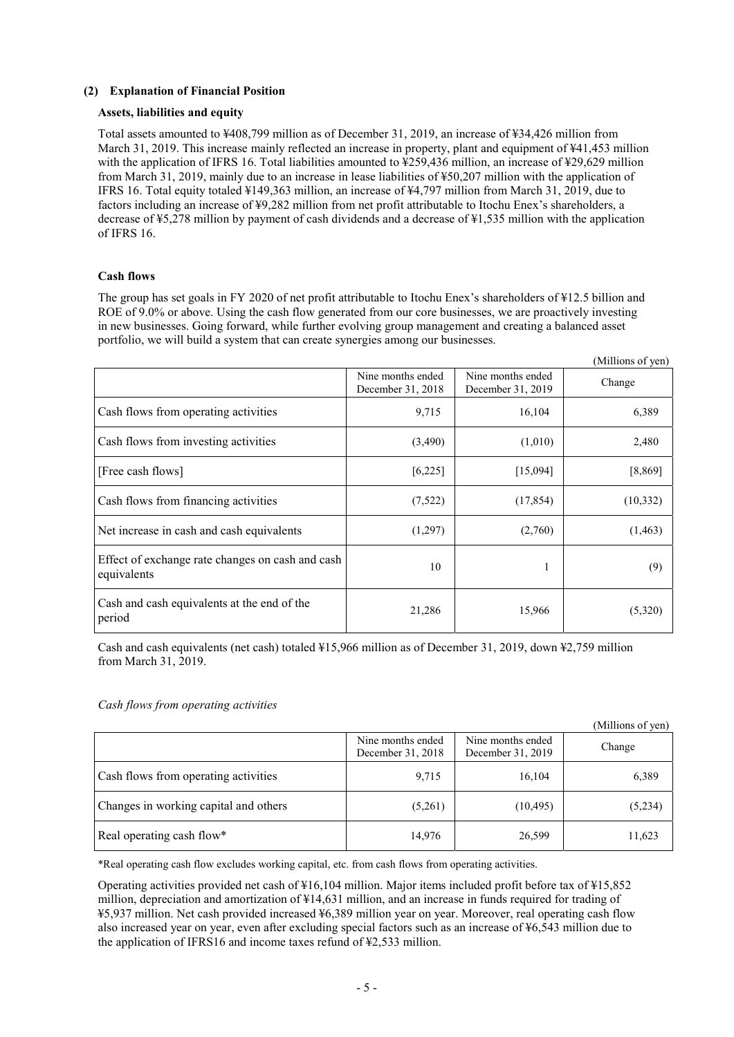### **(2) Explanation of Financial Position**

### **Assets, liabilities and equity**

Total assets amounted to ¥408,799 million as of December 31, 2019, an increase of ¥34,426 million from March 31, 2019. This increase mainly reflected an increase in property, plant and equipment of ¥41,453 million with the application of IFRS 16. Total liabilities amounted to ¥259,436 million, an increase of ¥29,629 million from March 31, 2019, mainly due to an increase in lease liabilities of ¥50,207 million with the application of IFRS 16. Total equity totaled ¥149,363 million, an increase of ¥4,797 million from March 31, 2019, due to factors including an increase of ¥9,282 million from net profit attributable to Itochu Enex's shareholders, a decrease of ¥5,278 million by payment of cash dividends and a decrease of ¥1,535 million with the application of IFRS 16.

### **Cash flows**

The group has set goals in FY 2020 of net profit attributable to Itochu Enex's shareholders of ¥12.5 billion and ROE of 9.0% or above. Using the cash flow generated from our core businesses, we are proactively investing in new businesses. Going forward, while further evolving group management and creating a balanced asset portfolio, we will build a system that can create synergies among our businesses.

 $\alpha$  and  $\beta$ 

|                                                                 |                                        |                                        | (Millions of yen) |
|-----------------------------------------------------------------|----------------------------------------|----------------------------------------|-------------------|
|                                                                 | Nine months ended<br>December 31, 2018 | Nine months ended<br>December 31, 2019 | Change            |
| Cash flows from operating activities                            | 9,715                                  | 16,104                                 | 6,389             |
| Cash flows from investing activities                            | (3,490)                                | (1,010)                                | 2,480             |
| [Free cash flows]                                               | [6, 225]                               | [15,094]                               | [8,869]           |
| Cash flows from financing activities                            | (7,522)                                | (17, 854)                              | (10, 332)         |
| Net increase in cash and cash equivalents                       | (1,297)                                | (2,760)                                | (1, 463)          |
| Effect of exchange rate changes on cash and cash<br>equivalents | 10                                     | 1                                      | (9)               |
| Cash and cash equivalents at the end of the<br>period           | 21,286                                 | 15,966                                 | (5,320)           |

Cash and cash equivalents (net cash) totaled ¥15,966 million as of December 31, 2019, down ¥2,759 million from March 31, 2019.

#### *Cash flows from operating activities*

|                                       |                                        |                                        | (Millions of yen) |
|---------------------------------------|----------------------------------------|----------------------------------------|-------------------|
|                                       | Nine months ended<br>December 31, 2018 | Nine months ended<br>December 31, 2019 | Change            |
| Cash flows from operating activities  | 9,715                                  | 16,104                                 | 6,389             |
| Changes in working capital and others | (5,261)                                | (10, 495)                              | (5,234)           |
| Real operating cash flow*             | 14,976                                 | 26,599                                 | 11,623            |

\*Real operating cash flow excludes working capital, etc. from cash flows from operating activities.

Operating activities provided net cash of ¥16,104 million. Major items included profit before tax of ¥15,852 million, depreciation and amortization of ¥14,631 million, and an increase in funds required for trading of ¥5,937 million. Net cash provided increased ¥6,389 million year on year. Moreover, real operating cash flow also increased year on year, even after excluding special factors such as an increase of ¥6,543 million due to the application of IFRS16 and income taxes refund of ¥2,533 million.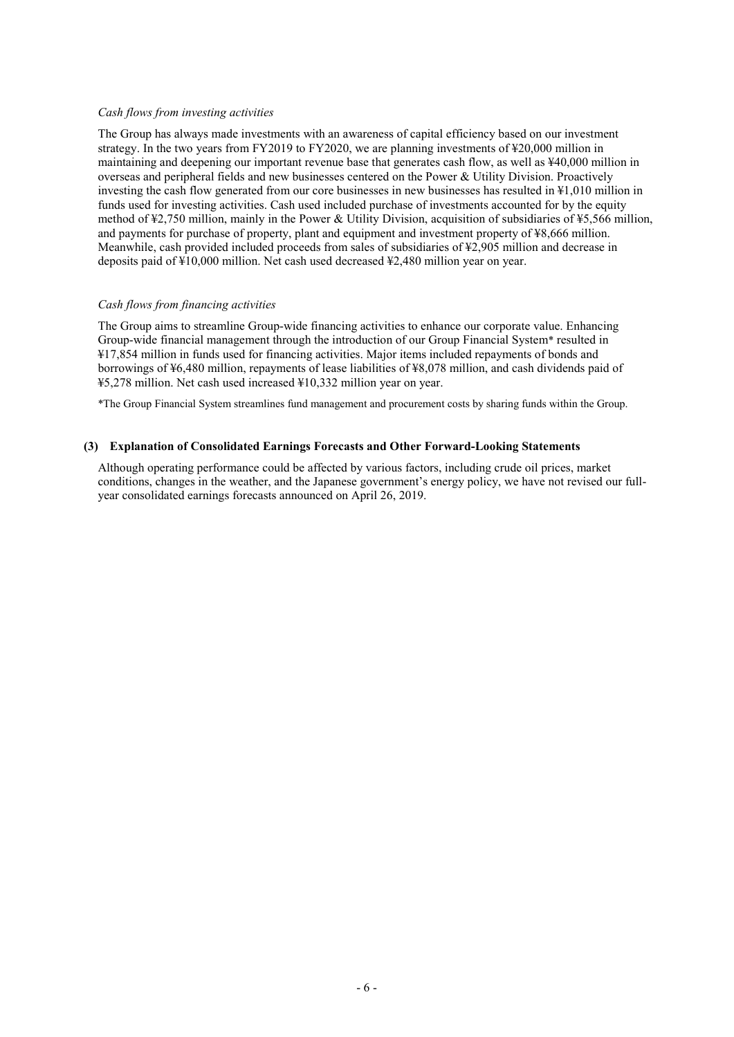#### *Cash flows from investing activities*

The Group has always made investments with an awareness of capital efficiency based on our investment strategy. In the two years from FY2019 to FY2020, we are planning investments of ¥20,000 million in maintaining and deepening our important revenue base that generates cash flow, as well as ¥40,000 million in overseas and peripheral fields and new businesses centered on the Power & Utility Division. Proactively investing the cash flow generated from our core businesses in new businesses has resulted in ¥1,010 million in funds used for investing activities. Cash used included purchase of investments accounted for by the equity method of ¥2,750 million, mainly in the Power & Utility Division, acquisition of subsidiaries of ¥5,566 million, and payments for purchase of property, plant and equipment and investment property of ¥8,666 million. Meanwhile, cash provided included proceeds from sales of subsidiaries of ¥2,905 million and decrease in deposits paid of ¥10,000 million. Net cash used decreased ¥2,480 million year on year.

#### *Cash flows from financing activities*

The Group aims to streamline Group-wide financing activities to enhance our corporate value. Enhancing Group-wide financial management through the introduction of our Group Financial System\* resulted in ¥17,854 million in funds used for financing activities. Major items included repayments of bonds and borrowings of ¥6,480 million, repayments of lease liabilities of ¥8,078 million, and cash dividends paid of ¥5,278 million. Net cash used increased ¥10,332 million year on year.

\*The Group Financial System streamlines fund management and procurement costs by sharing funds within the Group.

#### **(3) Explanation of Consolidated Earnings Forecasts and Other Forward-Looking Statements**

Although operating performance could be affected by various factors, including crude oil prices, market conditions, changes in the weather, and the Japanese government's energy policy, we have not revised our fullyear consolidated earnings forecasts announced on April 26, 2019.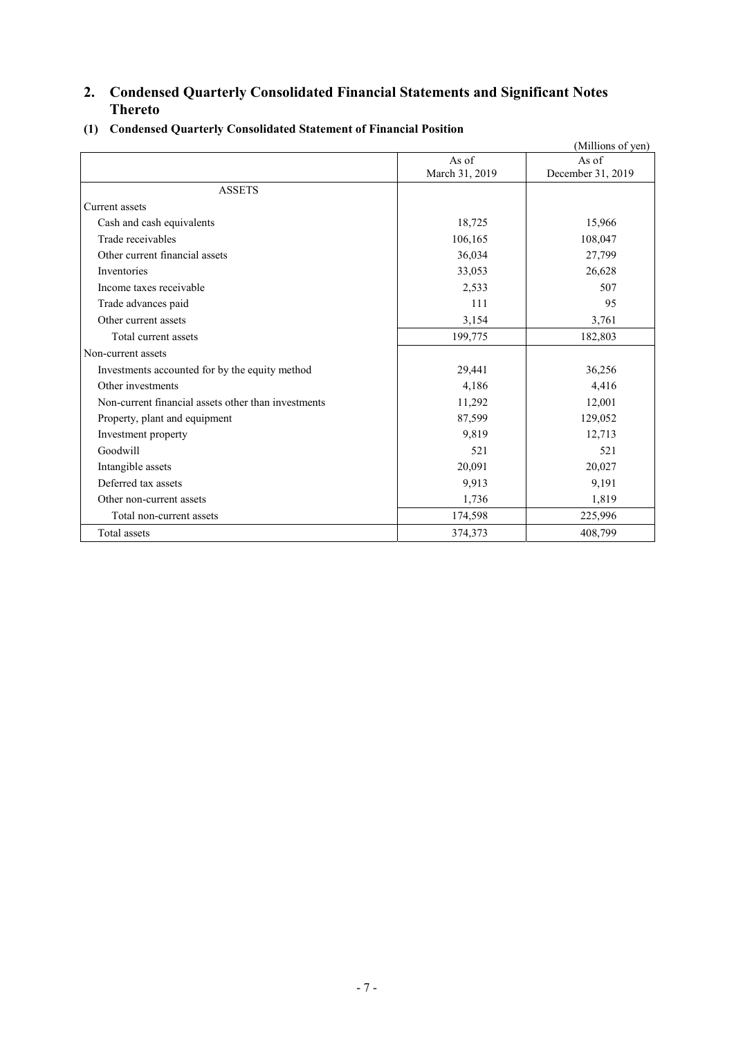# **2. Condensed Quarterly Consolidated Financial Statements and Significant Notes Thereto**

|                                                     |                | (Millions of yen) |
|-----------------------------------------------------|----------------|-------------------|
|                                                     | As of          | As of             |
|                                                     | March 31, 2019 | December 31, 2019 |
| <b>ASSETS</b>                                       |                |                   |
| Current assets                                      |                |                   |
| Cash and cash equivalents                           | 18,725         | 15,966            |
| Trade receivables                                   | 106,165        | 108,047           |
| Other current financial assets                      | 36,034         | 27,799            |
| Inventories                                         | 33,053         | 26,628            |
| Income taxes receivable                             | 2,533          | 507               |
| Trade advances paid                                 | 111            | 95                |
| Other current assets                                | 3,154          | 3,761             |
| Total current assets                                | 199,775        | 182,803           |
| Non-current assets                                  |                |                   |
| Investments accounted for by the equity method      | 29,441         | 36,256            |
| Other investments                                   | 4,186          | 4,416             |
| Non-current financial assets other than investments | 11,292         | 12,001            |
| Property, plant and equipment                       | 87,599         | 129,052           |
| Investment property                                 | 9,819          | 12,713            |
| Goodwill                                            | 521            | 521               |
| Intangible assets                                   | 20,091         | 20,027            |
| Deferred tax assets                                 | 9,913          | 9,191             |
| Other non-current assets                            | 1,736          | 1,819             |
| Total non-current assets                            | 174,598        | 225,996           |
| Total assets                                        | 374,373        | 408,799           |

**(1) Condensed Quarterly Consolidated Statement of Financial Position**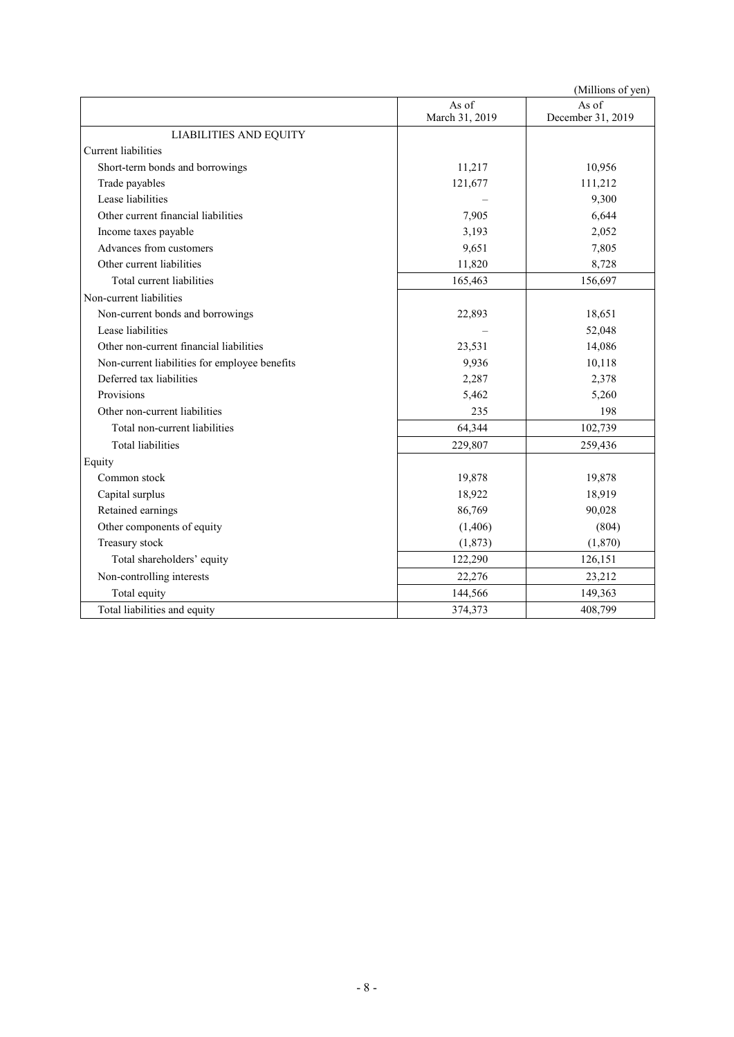|                                               |                         | (Millions of yen)          |
|-----------------------------------------------|-------------------------|----------------------------|
|                                               | As of<br>March 31, 2019 | As of<br>December 31, 2019 |
| <b>LIABILITIES AND EQUITY</b>                 |                         |                            |
| <b>Current liabilities</b>                    |                         |                            |
| Short-term bonds and borrowings               | 11,217                  | 10,956                     |
| Trade payables                                | 121,677                 | 111,212                    |
| Lease liabilities                             |                         | 9,300                      |
| Other current financial liabilities           | 7,905                   | 6,644                      |
| Income taxes payable                          | 3,193                   | 2,052                      |
| Advances from customers                       | 9,651                   | 7,805                      |
| Other current liabilities                     | 11,820                  | 8,728                      |
| Total current liabilities                     | 165,463                 | 156,697                    |
| Non-current liabilities                       |                         |                            |
| Non-current bonds and borrowings              | 22,893                  | 18,651                     |
| Lease liabilities                             |                         | 52,048                     |
| Other non-current financial liabilities       | 23,531                  | 14,086                     |
| Non-current liabilities for employee benefits | 9,936                   | 10,118                     |
| Deferred tax liabilities                      | 2,287                   | 2,378                      |
| Provisions                                    | 5,462                   | 5,260                      |
| Other non-current liabilities                 | 235                     | 198                        |
| Total non-current liabilities                 | 64,344                  | 102,739                    |
| <b>Total liabilities</b>                      | 229,807                 | 259,436                    |
| Equity                                        |                         |                            |
| Common stock                                  | 19,878                  | 19,878                     |
| Capital surplus                               | 18,922                  | 18,919                     |
| Retained earnings                             | 86,769                  | 90,028                     |
| Other components of equity                    | (1,406)                 | (804)                      |
| Treasury stock                                | (1,873)                 | (1,870)                    |
| Total shareholders' equity                    | 122,290                 | 126,151                    |
| Non-controlling interests                     | 22,276                  | 23,212                     |
| Total equity                                  | 144,566                 | 149,363                    |
| Total liabilities and equity                  | 374,373                 | 408,799                    |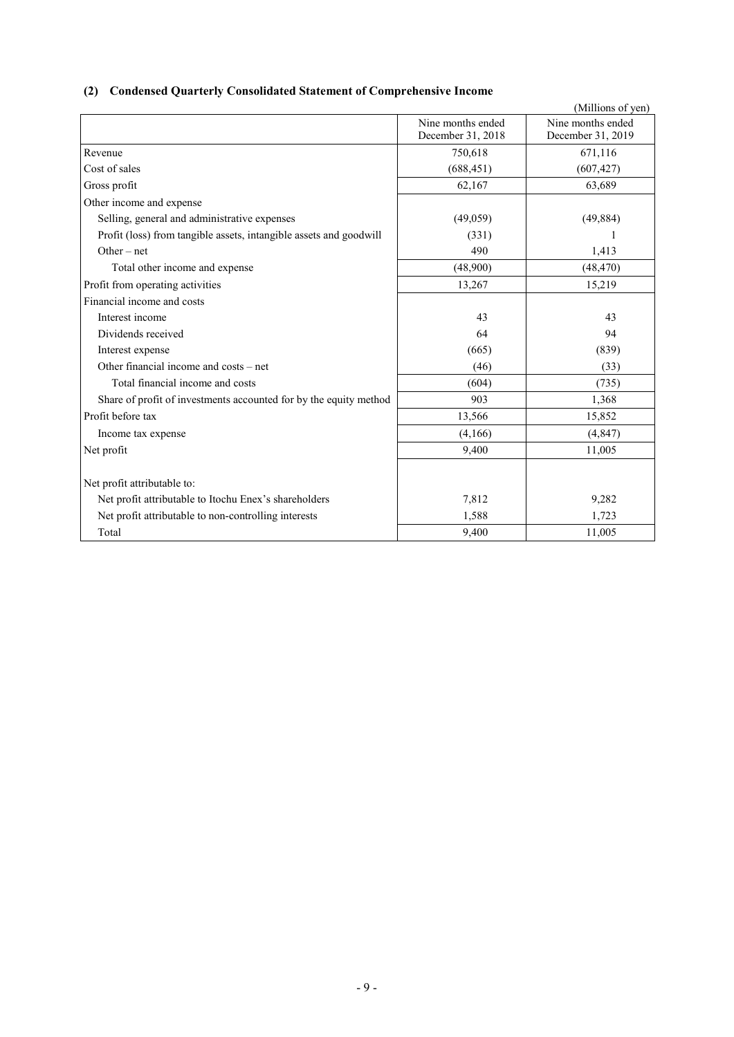# **(2) Condensed Quarterly Consolidated Statement of Comprehensive Income**

|                                                                    |                                        | (Millions of yen)                      |
|--------------------------------------------------------------------|----------------------------------------|----------------------------------------|
|                                                                    | Nine months ended<br>December 31, 2018 | Nine months ended<br>December 31, 2019 |
| Revenue                                                            | 750,618                                | 671,116                                |
| Cost of sales                                                      | (688, 451)                             | (607, 427)                             |
| Gross profit                                                       | 62,167                                 | 63,689                                 |
| Other income and expense                                           |                                        |                                        |
| Selling, general and administrative expenses                       | (49,059)                               | (49, 884)                              |
| Profit (loss) from tangible assets, intangible assets and goodwill | (331)                                  | 1                                      |
| Other $-$ net                                                      | 490                                    | 1,413                                  |
| Total other income and expense                                     | (48,900)                               | (48, 470)                              |
| Profit from operating activities                                   | 13,267                                 | 15,219                                 |
| Financial income and costs                                         |                                        |                                        |
| Interest income                                                    | 43                                     | 43                                     |
| Dividends received                                                 | 64                                     | 94                                     |
| Interest expense                                                   | (665)                                  | (839)                                  |
| Other financial income and costs – net                             | (46)                                   | (33)                                   |
| Total financial income and costs                                   | (604)                                  | (735)                                  |
| Share of profit of investments accounted for by the equity method  | 903                                    | 1,368                                  |
| Profit before tax                                                  | 13,566                                 | 15,852                                 |
| Income tax expense                                                 | (4,166)                                | (4, 847)                               |
| Net profit                                                         | 9,400                                  | 11,005                                 |
| Net profit attributable to:                                        |                                        |                                        |
| Net profit attributable to Itochu Enex's shareholders              | 7,812                                  | 9,282                                  |
| Net profit attributable to non-controlling interests               | 1,588                                  | 1,723                                  |
| Total                                                              | 9,400                                  | 11,005                                 |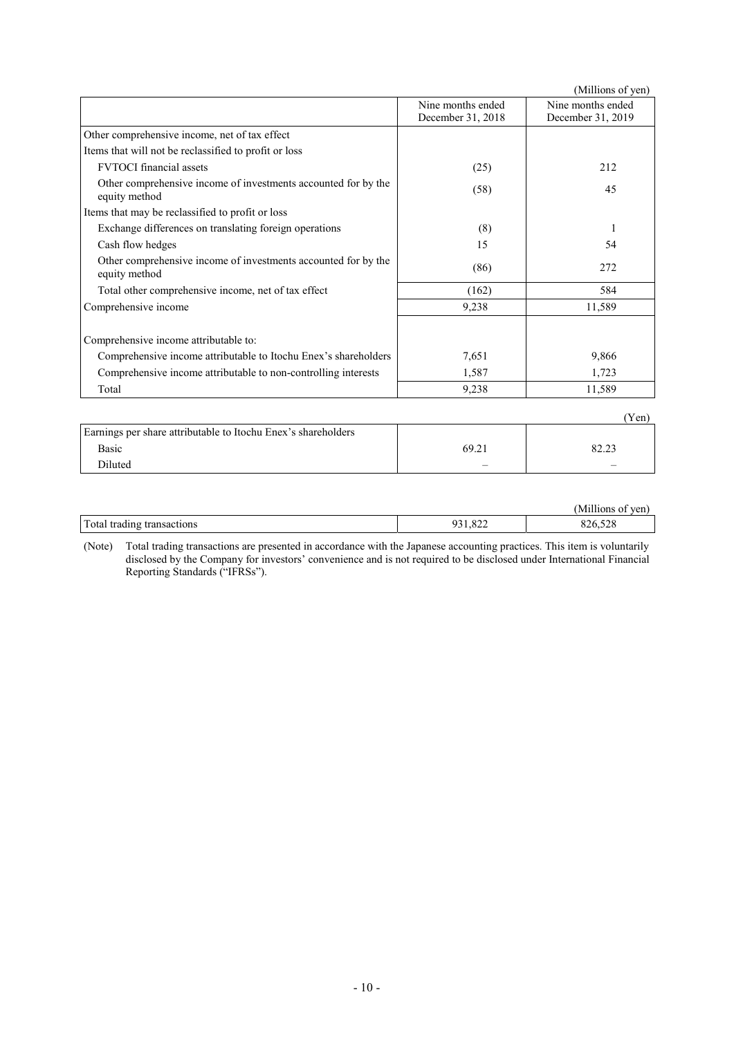|                                                                                 |                                        | (Millions of yen)                      |
|---------------------------------------------------------------------------------|----------------------------------------|----------------------------------------|
|                                                                                 | Nine months ended<br>December 31, 2018 | Nine months ended<br>December 31, 2019 |
| Other comprehensive income, net of tax effect                                   |                                        |                                        |
| Items that will not be reclassified to profit or loss                           |                                        |                                        |
| <b>FVTOCI</b> financial assets                                                  | (25)                                   | 212                                    |
| Other comprehensive income of investments accounted for by the<br>equity method | (58)                                   | 45                                     |
| Items that may be reclassified to profit or loss                                |                                        |                                        |
| Exchange differences on translating foreign operations                          | (8)                                    | 1                                      |
| Cash flow hedges                                                                | 15                                     | 54                                     |
| Other comprehensive income of investments accounted for by the<br>equity method | (86)                                   | 272                                    |
| Total other comprehensive income, net of tax effect                             | (162)                                  | 584                                    |
| Comprehensive income                                                            | 9,238                                  | 11,589                                 |
| Comprehensive income attributable to:                                           |                                        |                                        |
| Comprehensive income attributable to Itochu Enex's shareholders                 | 7,651                                  | 9,866                                  |
| Comprehensive income attributable to non-controlling interests                  | 1,587                                  | 1,723                                  |
| Total                                                                           | 9,238                                  | 11,589                                 |
|                                                                                 |                                        | (Yen)                                  |
| Earnings per share attributable to Itochu Enex's shareholders                   |                                        |                                        |

| Basic  | 69.21                    | 02.22<br>ر ∟…ت           |
|--------|--------------------------|--------------------------|
| نم±تنا | $\overline{\phantom{a}}$ | $\overline{\phantom{a}}$ |
|        |                          |                          |

|                                   |                    | $- - - - -$<br>(Millione<br>TOM<br>UП |
|-----------------------------------|--------------------|---------------------------------------|
| Total<br>transactions:<br>trading | $\sim$<br>$\sigma$ | $\sim$ $\sim$ $\sim$                  |

(Note) Total trading transactions are presented in accordance with the Japanese accounting practices. This item is voluntarily disclosed by the Company for investors' convenience and is not required to be disclosed under International Financial Reporting Standards ("IFRSs").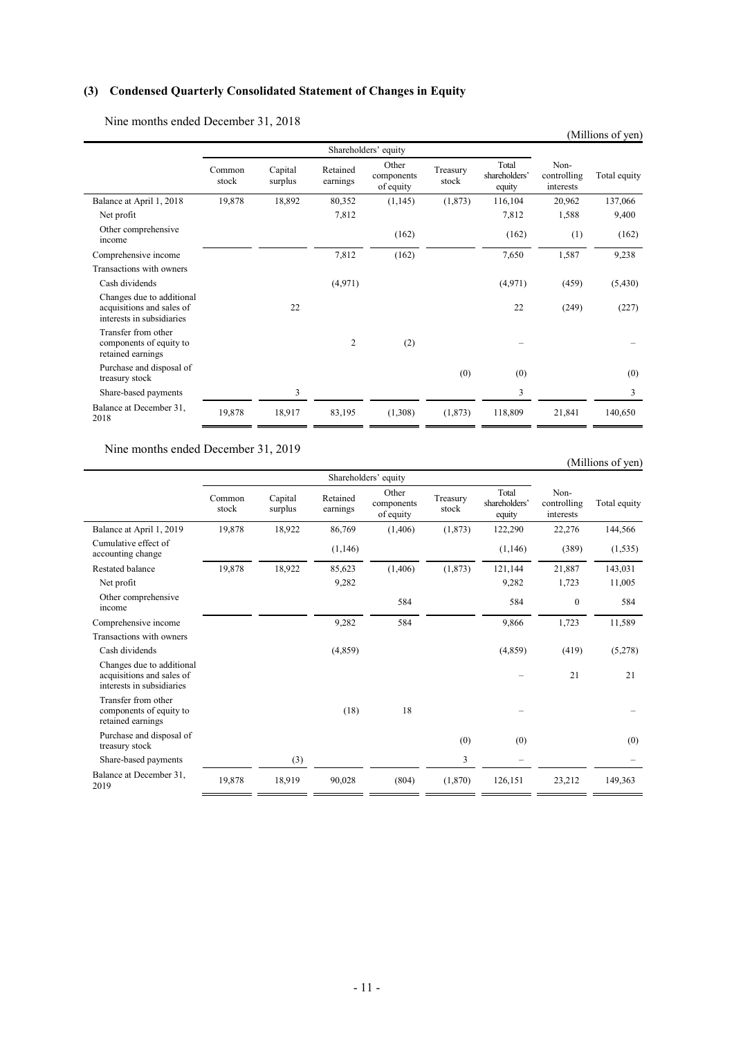# **(3) Condensed Quarterly Consolidated Statement of Changes in Equity**

Nine months ended December 31, 2018

|                                                                                     |                 |                    |                      |                                  |                   |                                  |                                  | (Millions of yen) |
|-------------------------------------------------------------------------------------|-----------------|--------------------|----------------------|----------------------------------|-------------------|----------------------------------|----------------------------------|-------------------|
|                                                                                     |                 |                    |                      | Shareholders' equity             |                   |                                  |                                  |                   |
|                                                                                     | Common<br>stock | Capital<br>surplus | Retained<br>earnings | Other<br>components<br>of equity | Treasury<br>stock | Total<br>shareholders'<br>equity | Non-<br>controlling<br>interests | Total equity      |
| Balance at April 1, 2018                                                            | 19,878          | 18,892             | 80,352               | (1,145)                          | (1,873)           | 116,104                          | 20,962                           | 137,066           |
| Net profit                                                                          |                 |                    | 7,812                |                                  |                   | 7,812                            | 1,588                            | 9,400             |
| Other comprehensive<br>income                                                       |                 |                    |                      | (162)                            |                   | (162)                            | (1)                              | (162)             |
| Comprehensive income                                                                |                 |                    | 7,812                | (162)                            |                   | 7,650                            | 1,587                            | 9,238             |
| Transactions with owners                                                            |                 |                    |                      |                                  |                   |                                  |                                  |                   |
| Cash dividends                                                                      |                 |                    | (4,971)              |                                  |                   | (4,971)                          | (459)                            | (5,430)           |
| Changes due to additional<br>acquisitions and sales of<br>interests in subsidiaries |                 | 22                 |                      |                                  |                   | 22                               | (249)                            | (227)             |
| Transfer from other<br>components of equity to<br>retained earnings                 |                 |                    | 2                    | (2)                              |                   |                                  |                                  |                   |
| Purchase and disposal of<br>treasury stock                                          |                 |                    |                      |                                  | (0)               | (0)                              |                                  | (0)               |
| Share-based payments                                                                |                 | 3                  |                      |                                  |                   | 3                                |                                  | 3                 |
| Balance at December 31,<br>2018                                                     | 19,878          | 18,917             | 83,195               | (1,308)                          | (1,873)           | 118,809                          | 21,841                           | 140,650           |

Nine months ended December 31, 2019

# (Millions of yen)

|                                                                                     | Shareholders' equity |                    |                      |                                  |                   |                                  |                                  |              |
|-------------------------------------------------------------------------------------|----------------------|--------------------|----------------------|----------------------------------|-------------------|----------------------------------|----------------------------------|--------------|
|                                                                                     | Common<br>stock      | Capital<br>surplus | Retained<br>earnings | Other<br>components<br>of equity | Treasury<br>stock | Total<br>shareholders'<br>equity | Non-<br>controlling<br>interests | Total equity |
| Balance at April 1, 2019                                                            | 19,878               | 18,922             | 86,769               | (1,406)                          | (1,873)           | 122,290                          | 22,276                           | 144,566      |
| Cumulative effect of<br>accounting change                                           |                      |                    | (1,146)              |                                  |                   | (1,146)                          | (389)                            | (1, 535)     |
| Restated balance                                                                    | 19,878               | 18,922             | 85,623               | (1,406)                          | (1,873)           | 121,144                          | 21,887                           | 143,031      |
| Net profit                                                                          |                      |                    | 9,282                |                                  |                   | 9,282                            | 1,723                            | 11,005       |
| Other comprehensive<br>income                                                       |                      |                    |                      | 584                              |                   | 584                              | $\mathbf{0}$                     | 584          |
| Comprehensive income                                                                |                      |                    | 9,282                | 584                              |                   | 9,866                            | 1,723                            | 11,589       |
| Transactions with owners                                                            |                      |                    |                      |                                  |                   |                                  |                                  |              |
| Cash dividends                                                                      |                      |                    | (4,859)              |                                  |                   | (4,859)                          | (419)                            | (5,278)      |
| Changes due to additional<br>acquisitions and sales of<br>interests in subsidiaries |                      |                    |                      |                                  |                   |                                  | 21                               | 21           |
| Transfer from other<br>components of equity to<br>retained earnings                 |                      |                    | (18)                 | 18                               |                   |                                  |                                  |              |
| Purchase and disposal of<br>treasury stock                                          |                      |                    |                      |                                  | (0)               | (0)                              |                                  | (0)          |
| Share-based payments                                                                |                      | (3)                |                      |                                  | 3                 |                                  |                                  |              |
| Balance at December 31,<br>2019                                                     | 19,878               | 18,919             | 90,028               | (804)                            | (1,870)           | 126,151                          | 23,212                           | 149,363      |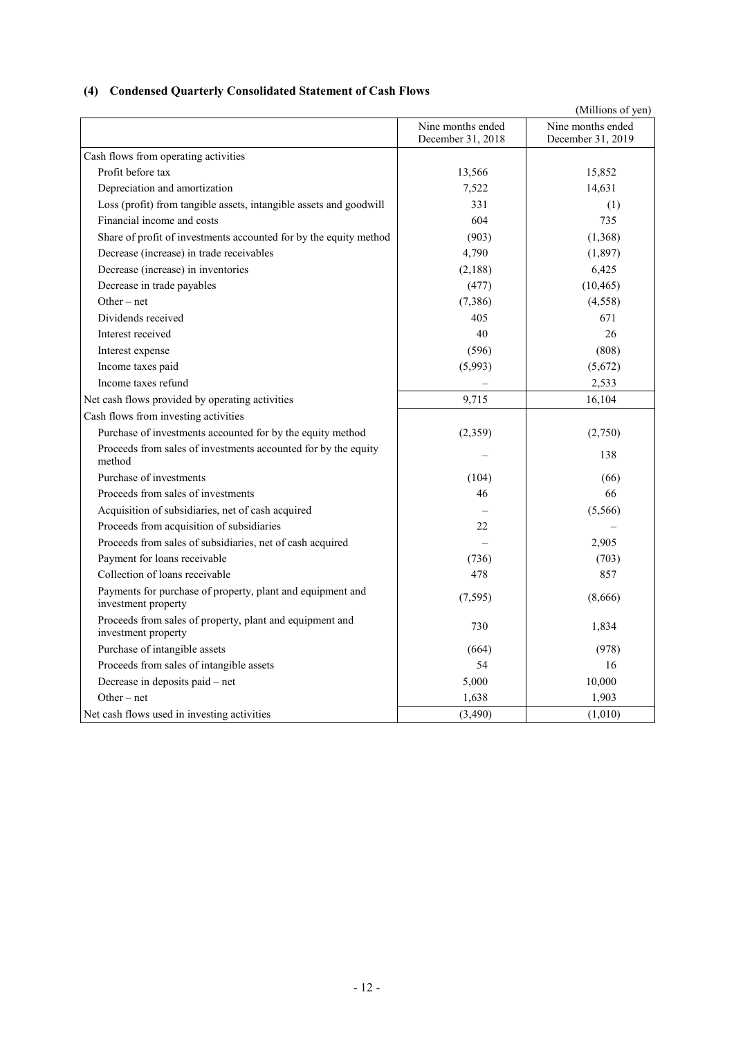# **(4) Condensed Quarterly Consolidated Statement of Cash Flows**

|                                                                                   |                                        | (Millions of yen)                      |
|-----------------------------------------------------------------------------------|----------------------------------------|----------------------------------------|
|                                                                                   | Nine months ended<br>December 31, 2018 | Nine months ended<br>December 31, 2019 |
| Cash flows from operating activities                                              |                                        |                                        |
| Profit before tax                                                                 | 13,566                                 | 15,852                                 |
| Depreciation and amortization                                                     | 7,522                                  | 14,631                                 |
| Loss (profit) from tangible assets, intangible assets and goodwill                | 331                                    | (1)                                    |
| Financial income and costs                                                        | 604                                    | 735                                    |
| Share of profit of investments accounted for by the equity method                 | (903)                                  | (1,368)                                |
| Decrease (increase) in trade receivables                                          | 4,790                                  | (1,897)                                |
| Decrease (increase) in inventories                                                | (2,188)                                | 6,425                                  |
| Decrease in trade payables                                                        | (477)                                  | (10, 465)                              |
| $Other-net$                                                                       | (7, 386)                               | (4,558)                                |
| Dividends received                                                                | 405                                    | 671                                    |
| Interest received                                                                 | 40                                     | 26                                     |
| Interest expense                                                                  | (596)                                  | (808)                                  |
| Income taxes paid                                                                 | (5,993)                                | (5,672)                                |
| Income taxes refund                                                               |                                        | 2,533                                  |
| Net cash flows provided by operating activities                                   | 9,715                                  | 16,104                                 |
| Cash flows from investing activities                                              |                                        |                                        |
| Purchase of investments accounted for by the equity method                        | (2,359)                                | (2,750)                                |
| Proceeds from sales of investments accounted for by the equity<br>method          |                                        | 138                                    |
| Purchase of investments                                                           | (104)                                  | (66)                                   |
| Proceeds from sales of investments                                                | 46                                     | 66                                     |
| Acquisition of subsidiaries, net of cash acquired                                 |                                        | (5,566)                                |
| Proceeds from acquisition of subsidiaries                                         | 22                                     |                                        |
| Proceeds from sales of subsidiaries, net of cash acquired                         |                                        | 2,905                                  |
| Payment for loans receivable                                                      | (736)                                  | (703)                                  |
| Collection of loans receivable                                                    | 478                                    | 857                                    |
| Payments for purchase of property, plant and equipment and<br>investment property | (7, 595)                               | (8,666)                                |
| Proceeds from sales of property, plant and equipment and<br>investment property   | 730                                    | 1,834                                  |
| Purchase of intangible assets                                                     | (664)                                  | (978)                                  |
| Proceeds from sales of intangible assets                                          | 54                                     | 16                                     |
| Decrease in deposits paid - net                                                   | 5,000                                  | 10,000                                 |
| Other $-$ net                                                                     | 1,638                                  | 1,903                                  |
| Net cash flows used in investing activities                                       | (3,490)                                | (1,010)                                |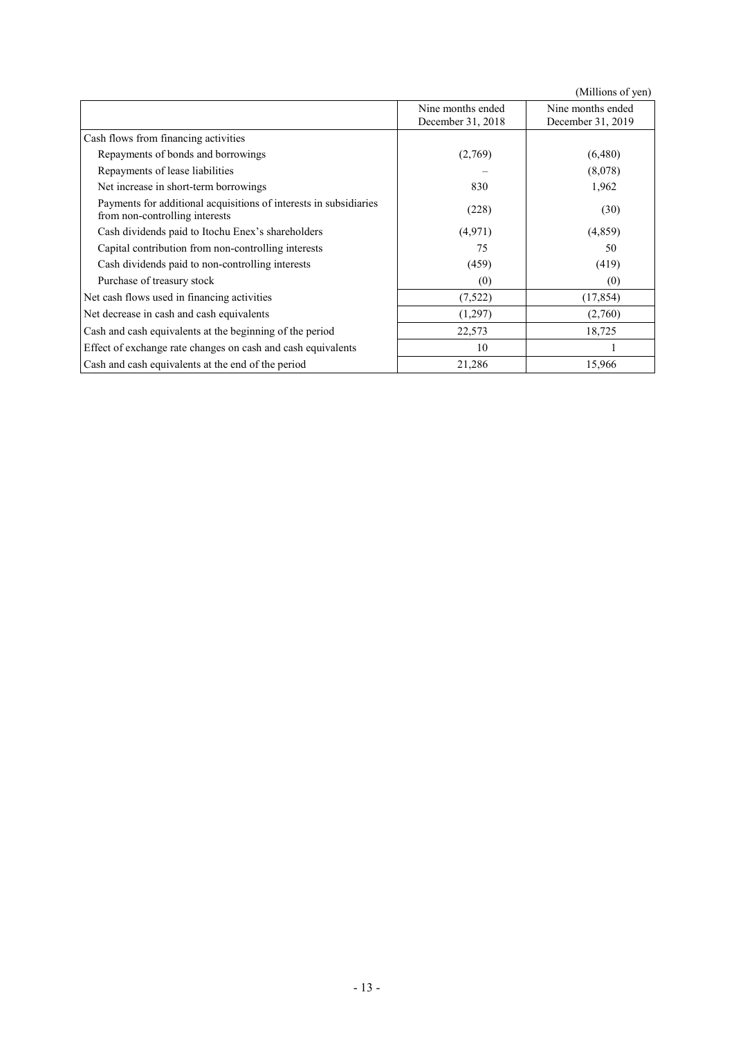|                                                                                                     | Nine months ended<br>December 31, 2018 | Nine months ended<br>December 31, 2019 |
|-----------------------------------------------------------------------------------------------------|----------------------------------------|----------------------------------------|
| Cash flows from financing activities                                                                |                                        |                                        |
| Repayments of bonds and borrowings                                                                  | (2,769)                                | (6,480)                                |
| Repayments of lease liabilities                                                                     |                                        | (8,078)                                |
| Net increase in short-term borrowings                                                               | 830                                    | 1,962                                  |
| Payments for additional acquisitions of interests in subsidiaries<br>from non-controlling interests | (228)                                  | (30)                                   |
| Cash dividends paid to Itochu Enex's shareholders                                                   | (4,971)                                | (4,859)                                |
| Capital contribution from non-controlling interests                                                 | 75                                     | 50                                     |
| Cash dividends paid to non-controlling interests                                                    | (459)                                  | (419)                                  |
| Purchase of treasury stock                                                                          | (0)                                    | (0)                                    |
| Net cash flows used in financing activities                                                         | (7,522)                                | (17, 854)                              |
| Net decrease in cash and cash equivalents                                                           | (1,297)                                | (2,760)                                |
| Cash and cash equivalents at the beginning of the period                                            | 22,573                                 | 18,725                                 |
| Effect of exchange rate changes on cash and cash equivalents                                        | 10                                     |                                        |
| Cash and cash equivalents at the end of the period                                                  | 21,286                                 | 15,966                                 |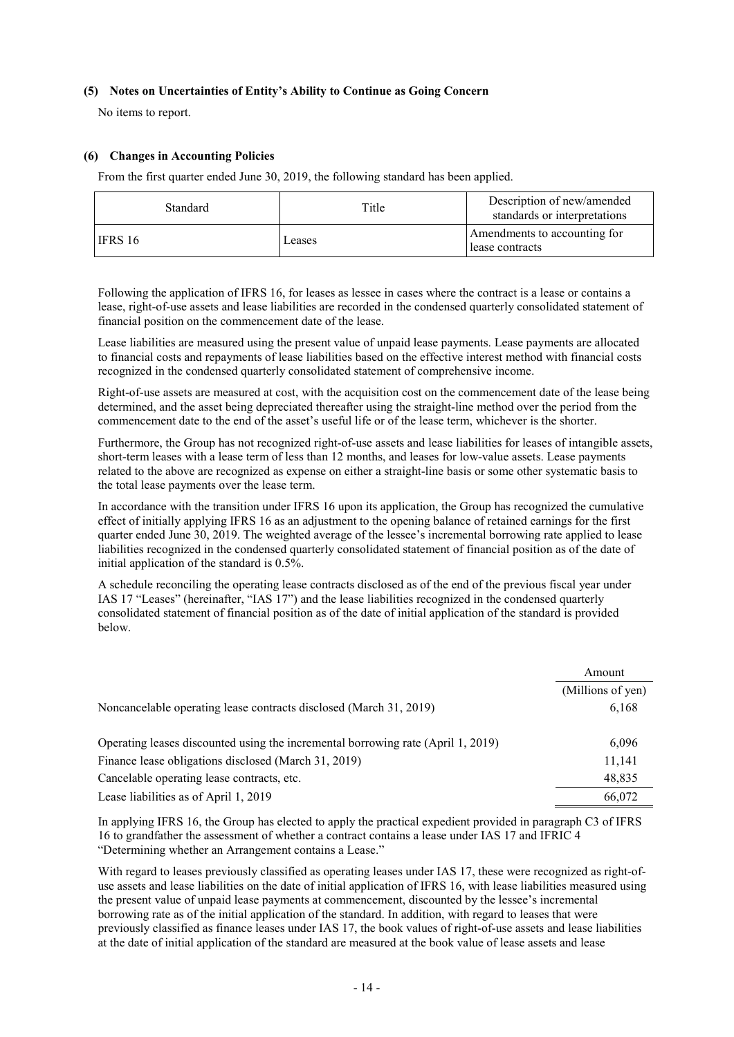### **(5) Notes on Uncertainties of Entity's Ability to Continue as Going Concern**

No items to report.

### **(6) Changes in Accounting Policies**

From the first quarter ended June 30, 2019, the following standard has been applied.

| <b>Standard</b> | Title  | Description of new/amended<br>standards or interpretations |
|-----------------|--------|------------------------------------------------------------|
| <b>IFRS 16</b>  | Leases | Amendments to accounting for<br>lease contracts            |

Following the application of IFRS 16, for leases as lessee in cases where the contract is a lease or contains a lease, right-of-use assets and lease liabilities are recorded in the condensed quarterly consolidated statement of financial position on the commencement date of the lease.

Lease liabilities are measured using the present value of unpaid lease payments. Lease payments are allocated to financial costs and repayments of lease liabilities based on the effective interest method with financial costs recognized in the condensed quarterly consolidated statement of comprehensive income.

Right-of-use assets are measured at cost, with the acquisition cost on the commencement date of the lease being determined, and the asset being depreciated thereafter using the straight-line method over the period from the commencement date to the end of the asset's useful life or of the lease term, whichever is the shorter.

Furthermore, the Group has not recognized right-of-use assets and lease liabilities for leases of intangible assets, short-term leases with a lease term of less than 12 months, and leases for low-value assets. Lease payments related to the above are recognized as expense on either a straight-line basis or some other systematic basis to the total lease payments over the lease term.

In accordance with the transition under IFRS 16 upon its application, the Group has recognized the cumulative effect of initially applying IFRS 16 as an adjustment to the opening balance of retained earnings for the first quarter ended June 30, 2019. The weighted average of the lessee's incremental borrowing rate applied to lease liabilities recognized in the condensed quarterly consolidated statement of financial position as of the date of initial application of the standard is 0.5%.

A schedule reconciling the operating lease contracts disclosed as of the end of the previous fiscal year under IAS 17 "Leases" (hereinafter, "IAS 17") and the lease liabilities recognized in the condensed quarterly consolidated statement of financial position as of the date of initial application of the standard is provided below.

|                                                                                  | Amount            |
|----------------------------------------------------------------------------------|-------------------|
|                                                                                  | (Millions of yen) |
| Noncancelable operating lease contracts disclosed (March 31, 2019)               | 6,168             |
| Operating leases discounted using the incremental borrowing rate (April 1, 2019) | 6,096             |
| Finance lease obligations disclosed (March 31, 2019)                             | 11,141            |
| Cancelable operating lease contracts, etc.                                       | 48,835            |
| Lease liabilities as of April 1, 2019                                            | 66,072            |

In applying IFRS 16, the Group has elected to apply the practical expedient provided in paragraph C3 of IFRS 16 to grandfather the assessment of whether a contract contains a lease under IAS 17 and IFRIC 4 "Determining whether an Arrangement contains a Lease."

With regard to leases previously classified as operating leases under IAS 17, these were recognized as right-ofuse assets and lease liabilities on the date of initial application of IFRS 16, with lease liabilities measured using the present value of unpaid lease payments at commencement, discounted by the lessee's incremental borrowing rate as of the initial application of the standard. In addition, with regard to leases that were previously classified as finance leases under IAS 17, the book values of right-of-use assets and lease liabilities at the date of initial application of the standard are measured at the book value of lease assets and lease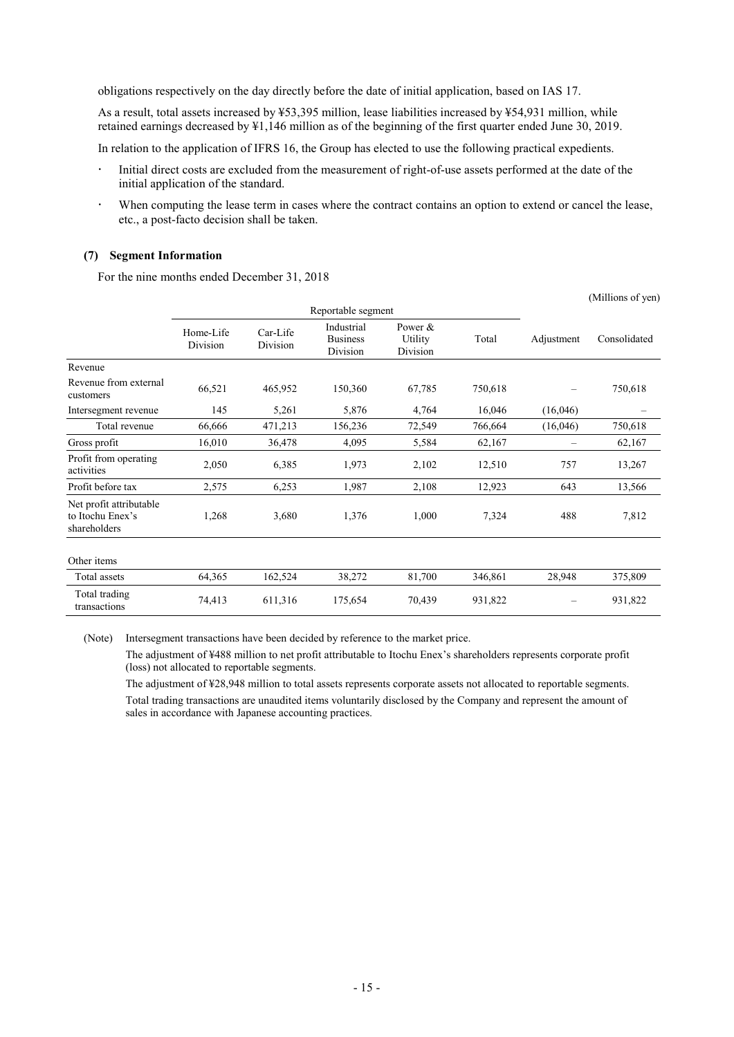obligations respectively on the day directly before the date of initial application, based on IAS 17.

As a result, total assets increased by ¥53,395 million, lease liabilities increased by ¥54,931 million, while retained earnings decreased by ¥1,146 million as of the beginning of the first quarter ended June 30, 2019.

In relation to the application of IFRS 16, the Group has elected to use the following practical expedients.

- Initial direct costs are excluded from the measurement of right-of-use assets performed at the date of the initial application of the standard.
- When computing the lease term in cases where the contract contains an option to extend or cancel the lease, etc., a post-facto decision shall be taken.

#### **(7) Segment Information**

For the nine months ended December 31, 2018

|                                                             |                       |                      |                                           |                                  |         |            | (Millions of yen) |
|-------------------------------------------------------------|-----------------------|----------------------|-------------------------------------------|----------------------------------|---------|------------|-------------------|
|                                                             | Reportable segment    |                      |                                           |                                  |         |            |                   |
|                                                             | Home-Life<br>Division | Car-Life<br>Division | Industrial<br><b>Business</b><br>Division | Power $&$<br>Utility<br>Division | Total   | Adjustment | Consolidated      |
| Revenue                                                     |                       |                      |                                           |                                  |         |            |                   |
| Revenue from external<br>customers                          | 66,521                | 465,952              | 150,360                                   | 67,785                           | 750,618 |            | 750,618           |
| Intersegment revenue                                        | 145                   | 5,261                | 5,876                                     | 4,764                            | 16,046  | (16,046)   |                   |
| Total revenue                                               | 66,666                | 471,213              | 156,236                                   | 72,549                           | 766,664 | (16,046)   | 750,618           |
| Gross profit                                                | 16,010                | 36,478               | 4,095                                     | 5,584                            | 62,167  |            | 62,167            |
| Profit from operating<br>activities                         | 2,050                 | 6,385                | 1,973                                     | 2,102                            | 12,510  | 757        | 13,267            |
| Profit before tax                                           | 2,575                 | 6,253                | 1,987                                     | 2,108                            | 12,923  | 643        | 13,566            |
| Net profit attributable<br>to Itochu Enex's<br>shareholders | 1,268                 | 3,680                | 1,376                                     | 1,000                            | 7,324   | 488        | 7,812             |
| Other items                                                 |                       |                      |                                           |                                  |         |            |                   |
| Total assets                                                | 64,365                | 162,524              | 38,272                                    | 81,700                           | 346,861 | 28,948     | 375,809           |
| Total trading<br>transactions                               | 74,413                | 611,316              | 175,654                                   | 70,439                           | 931,822 |            | 931,822           |

(Note) Intersegment transactions have been decided by reference to the market price.

The adjustment of ¥488 million to net profit attributable to Itochu Enex's shareholders represents corporate profit (loss) not allocated to reportable segments.

The adjustment of ¥28,948 million to total assets represents corporate assets not allocated to reportable segments. Total trading transactions are unaudited items voluntarily disclosed by the Company and represent the amount of sales in accordance with Japanese accounting practices.